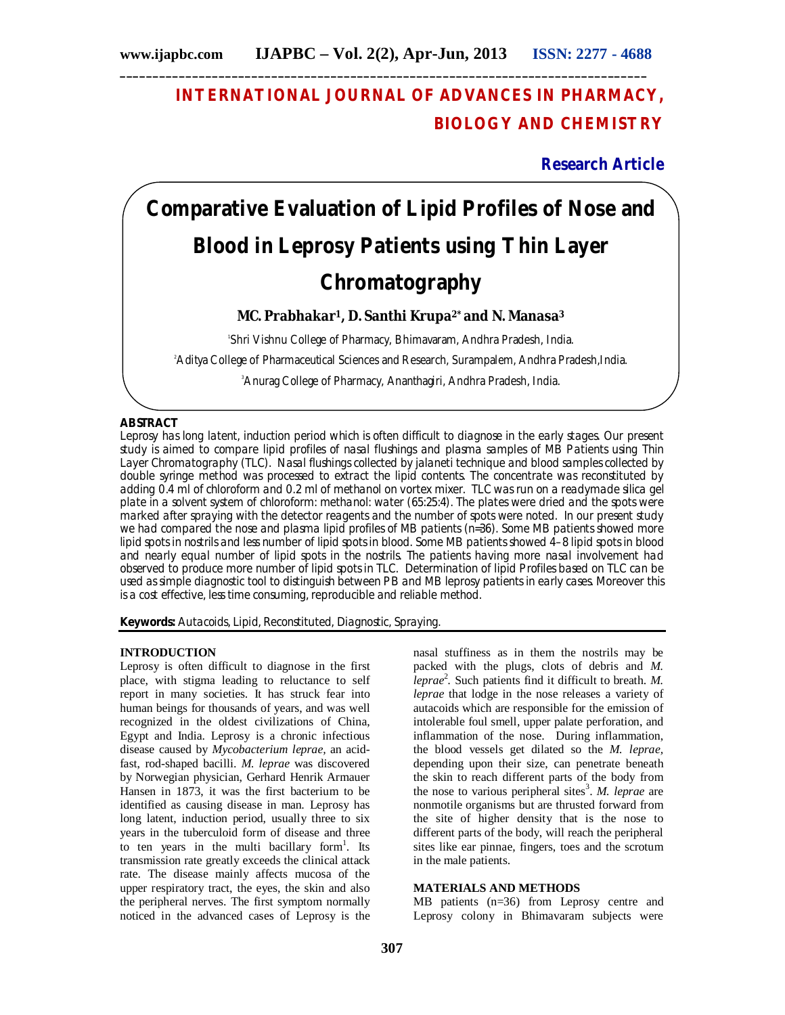# **INTERNATIONAL JOURNAL OF ADVANCES IN PHARMACY, BIOLOGY AND CHEMISTRY**

**Research Article**

# **Comparative Evaluation of Lipid Profiles of Nose and Blood in Leprosy Patients using Thin Layer Chromatography**

**MC. Prabhakar1, D. Santhi Krupa2\* and N. Manasa<sup>3</sup>**

1 Shri Vishnu College of Pharmacy, Bhimavaram, Andhra Pradesh, India.

<sup>2</sup>Aditya College of Pharmaceutical Sciences and Research, Surampalem, Andhra Pradesh, India.

<sup>3</sup>Anurag College of Pharmacy, Ananthagiri, Andhra Pradesh, India.

# **ABSTRACT**

Leprosy has long latent, induction period which is often difficult to diagnose in the early stages. Our present study is aimed to compare lipid profiles of nasal flushings and plasma samples of MB Patients using Thin Layer Chromatography (TLC). Nasal flushings collected by jalaneti technique and blood samples collected by double syringe method was processed to extract the lipid contents. The concentrate was reconstituted by adding 0.4 ml of chloroform and 0.2 ml of methanol on vortex mixer. TLC was run on a readymade silica gel plate in a solvent system of chloroform: methanol: water (65:25:4). The plates were dried and the spots were marked after spraying with the detector reagents and the number of spots were noted. In our present study we had compared the nose and plasma lipid profiles of MB patients (n=36). Some MB patients showed more lipid spots in nostrils and less number of lipid spots in blood. Some MB patients showed 4–8 lipid spots in blood and nearly equal number of lipid spots in the nostrils. The patients having more nasal involvement had observed to produce more number of lipid spots in TLC. Determination of lipid Profiles based on TLC can be used as simple diagnostic tool to distinguish between PB and MB leprosy patients in early cases. Moreover this is a cost effective, less time consuming, reproducible and reliable method.

**Keywords:** Autacoids, Lipid, Reconstituted, Diagnostic, Spraying.

#### **INTRODUCTION**

Leprosy is often difficult to diagnose in the first place, with stigma leading to reluctance to self report in many societies. It has struck fear into human beings for thousands of years, and was well recognized in the oldest civilizations of China, Egypt and India. Leprosy is a chronic infectious disease caused by *Mycobacterium leprae,* an acidfast, rod-shaped bacilli. *M. leprae* was discovered by Norwegian physician, Gerhard Henrik Armauer Hansen in 1873, it was the first bacterium to be identified as causing disease in man. Leprosy has long latent, induction period, usually three to six years in the tuberculoid form of disease and three to ten years in the multi bacillary form<sup>1</sup>. Its transmission rate greatly exceeds the clinical attack rate. The disease mainly affects mucosa of the upper respiratory tract, the eyes, the skin and also the peripheral nerves. The first symptom normally noticed in the advanced cases of Leprosy is the

nasal stuffiness as in them the nostrils may be packed with the plugs, clots of debris and *M. leprae*<sup>2</sup> *.* Such patients find it difficult to breath. *M. leprae* that lodge in the nose releases a variety of autacoids which are responsible for the emission of intolerable foul smell, upper palate perforation, and inflammation of the nose. During inflammation, the blood vessels get dilated so the *M. leprae,*  depending upon their size, can penetrate beneath the skin to reach different parts of the body from the nose to various peripheral sites<sup>3</sup>. M. leprae are nonmotile organisms but are thrusted forward from the site of higher density that is the nose to different parts of the body, will reach the peripheral sites like ear pinnae, fingers, toes and the scrotum in the male patients.

# **MATERIALS AND METHODS**

MB patients (n=36) from Leprosy centre and Leprosy colony in Bhimavaram subjects were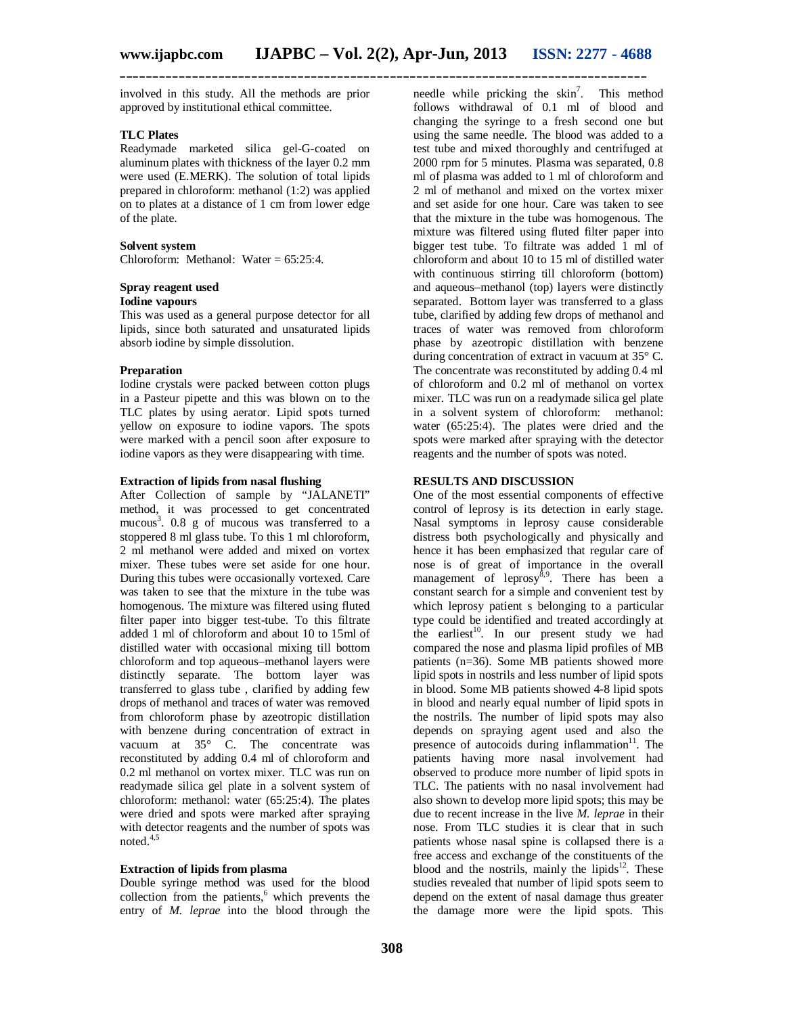involved in this study. All the methods are prior approved by institutional ethical committee.

### **TLC Plates**

Readymade marketed silica gel-G-coated on aluminum plates with thickness of the layer 0.2 mm were used (E.MERK). The solution of total lipids prepared in chloroform: methanol (1:2) was applied on to plates at a distance of 1 cm from lower edge of the plate.

#### **Solvent system**

Chloroform: Methanol: Water = 65:25:4.

# **Spray reagent used**

# **Iodine vapours**

This was used as a general purpose detector for all lipids, since both saturated and unsaturated lipids absorb iodine by simple dissolution.

#### **Preparation**

Iodine crystals were packed between cotton plugs in a Pasteur pipette and this was blown on to the TLC plates by using aerator. Lipid spots turned yellow on exposure to iodine vapors. The spots were marked with a pencil soon after exposure to iodine vapors as they were disappearing with time.

#### **Extraction of lipids from nasal flushing**

After Collection of sample by "JALANETI" method, it was processed to get concentrated mucous<sup>3</sup>. 0.8 g of mucous was transferred to a stoppered 8 ml glass tube. To this 1 ml chloroform, 2 ml methanol were added and mixed on vortex mixer. These tubes were set aside for one hour. During this tubes were occasionally vortexed. Care was taken to see that the mixture in the tube was homogenous. The mixture was filtered using fluted filter paper into bigger test-tube. To this filtrate added 1 ml of chloroform and about 10 to 15ml of distilled water with occasional mixing till bottom chloroform and top aqueous–methanol layers were distinctly separate. The bottom layer was transferred to glass tube , clarified by adding few drops of methanol and traces of water was removed from chloroform phase by azeotropic distillation with benzene during concentration of extract in vacuum at 35° C. The concentrate was reconstituted by adding 0.4 ml of chloroform and 0.2 ml methanol on vortex mixer. TLC was run on readymade silica gel plate in a solvent system of chloroform: methanol: water (65:25:4). The plates were dried and spots were marked after spraying with detector reagents and the number of spots was noted. 4,5

#### **Extraction of lipids from plasma**

Double syringe method was used for the blood collection from the patients, <sup>6</sup> which prevents the entry of *M. leprae* into the blood through the

needle while pricking the  $\sin^7$ . This method follows withdrawal of 0.1 ml of blood and changing the syringe to a fresh second one but using the same needle. The blood was added to a test tube and mixed thoroughly and centrifuged at 2000 rpm for 5 minutes. Plasma was separated, 0.8 ml of plasma was added to 1 ml of chloroform and 2 ml of methanol and mixed on the vortex mixer and set aside for one hour. Care was taken to see that the mixture in the tube was homogenous. The mixture was filtered using fluted filter paper into bigger test tube. To filtrate was added 1 ml of chloroform and about 10 to 15 ml of distilled water with continuous stirring till chloroform (bottom) and aqueous–methanol (top) layers were distinctly separated. Bottom layer was transferred to a glass tube, clarified by adding few drops of methanol and traces of water was removed from chloroform phase by azeotropic distillation with benzene during concentration of extract in vacuum at 35° C. The concentrate was reconstituted by adding 0.4 ml of chloroform and 0.2 ml of methanol on vortex mixer. TLC was run on a readymade silica gel plate in a solvent system of chloroform: methanol: water (65:25:4). The plates were dried and the spots were marked after spraying with the detector reagents and the number of spots was noted.

# **RESULTS AND DISCUSSION**

One of the most essential components of effective control of leprosy is its detection in early stage. Nasal symptoms in leprosy cause considerable distress both psychologically and physically and hence it has been emphasized that regular care of nose is of great of importance in the overall management of leprosy<sup>8,9</sup>. There has been a constant search for a simple and convenient test by which leprosy patient s belonging to a particular type could be identified and treated accordingly at the earliest<sup>10</sup>. In our present study we had compared the nose and plasma lipid profiles of MB patients (n=36). Some MB patients showed more lipid spots in nostrils and less number of lipid spots in blood. Some MB patients showed 4-8 lipid spots in blood and nearly equal number of lipid spots in the nostrils. The number of lipid spots may also depends on spraying agent used and also the presence of autocoids during inflammation $11$ . The patients having more nasal involvement had observed to produce more number of lipid spots in TLC. The patients with no nasal involvement had also shown to develop more lipid spots; this may be due to recent increase in the live *M. leprae* in their nose. From TLC studies it is clear that in such patients whose nasal spine is collapsed there is a free access and exchange of the constituents of the blood and the nostrils, mainly the lipids<sup>12</sup>. These studies revealed that number of lipid spots seem to depend on the extent of nasal damage thus greater the damage more were the lipid spots. This